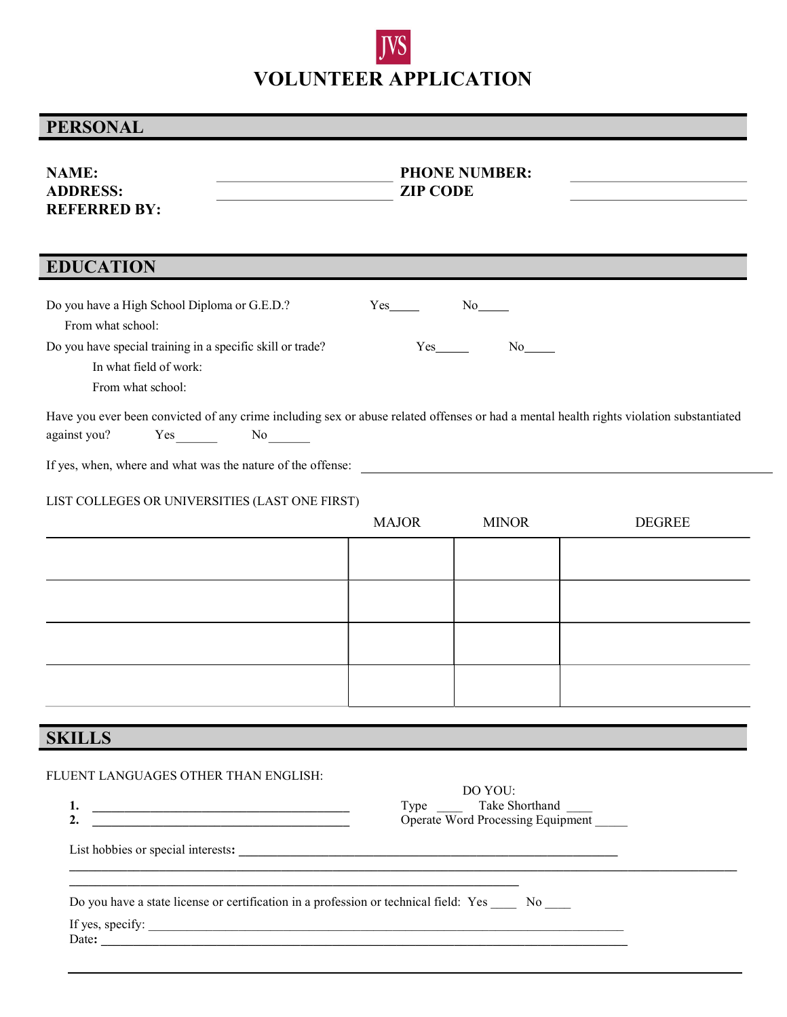## JVS VOLUNTEER APPLICATION

## PERSONAL

| <b>NAME:</b><br><b>ADDRESS:</b><br><b>REFERRED BY:</b>                                                                                                                                                                                  | <b>PHONE NUMBER:</b><br><b>ZIP CODE</b> |                                                                     |               |
|-----------------------------------------------------------------------------------------------------------------------------------------------------------------------------------------------------------------------------------------|-----------------------------------------|---------------------------------------------------------------------|---------------|
| <b>EDUCATION</b>                                                                                                                                                                                                                        |                                         |                                                                     |               |
| Do you have a High School Diploma or G.E.D.?<br>From what school:<br>Do you have special training in a specific skill or trade?<br>In what field of work:<br>From what school:                                                          | $Yes$ <sub>______</sub>                 | $No$ <sub>_____</sub><br>$Yes \t\t No$                              |               |
| Have you ever been convicted of any crime including sex or abuse related offenses or had a mental health rights violation substantiated<br>against you?<br>$Yes$ No $No$<br>If yes, when, where and what was the nature of the offense: |                                         |                                                                     |               |
| LIST COLLEGES OR UNIVERSITIES (LAST ONE FIRST)                                                                                                                                                                                          | <b>MAJOR</b>                            | <b>MINOR</b>                                                        | <b>DEGREE</b> |
|                                                                                                                                                                                                                                         |                                         |                                                                     |               |
|                                                                                                                                                                                                                                         |                                         |                                                                     |               |
|                                                                                                                                                                                                                                         |                                         |                                                                     |               |
|                                                                                                                                                                                                                                         |                                         |                                                                     |               |
| <b>SKILLS</b>                                                                                                                                                                                                                           |                                         |                                                                     |               |
| FLUENT LANGUAGES OTHER THAN ENGLISH:<br>2. $\qquad \qquad$                                                                                                                                                                              |                                         | DO YOU:<br>Type Take Shorthand<br>Operate Word Processing Equipment |               |
| Do you have a state license or certification in a profession or technical field: Yes _____ No ____<br>If yes, specify:                                                                                                                  |                                         |                                                                     |               |